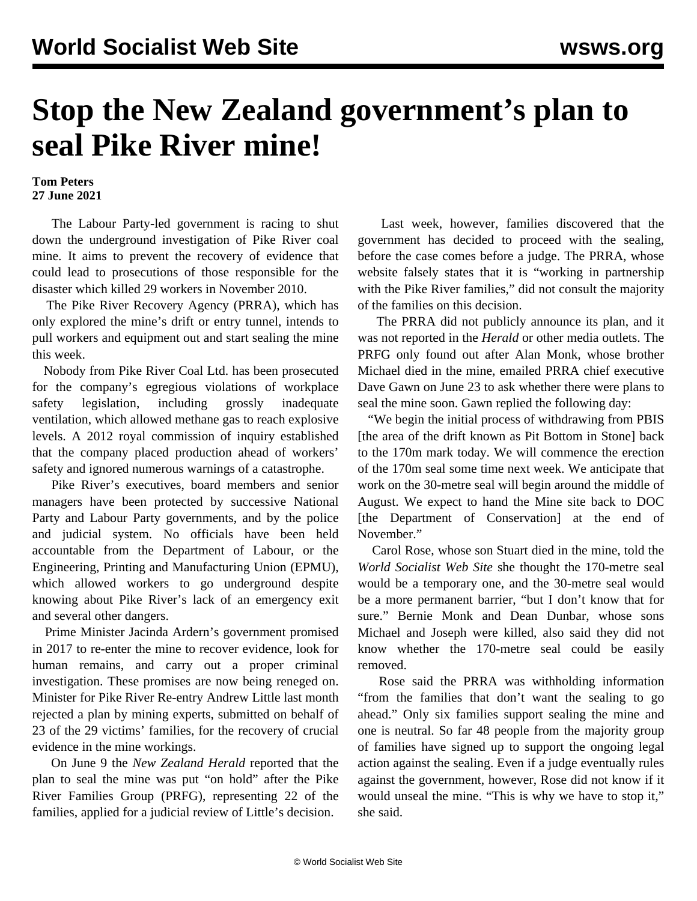## **Stop the New Zealand government's plan to seal Pike River mine!**

## **Tom Peters 27 June 2021**

 The Labour Party-led government is racing to shut down the underground investigation of Pike River coal mine. It aims to prevent the recovery of evidence that could lead to prosecutions of those responsible for the disaster which killed 29 workers in November 2010.

 The Pike River Recovery Agency (PRRA), which has only explored the mine's drift or entry tunnel, intends to pull workers and equipment out and start sealing the mine this week.

 Nobody from Pike River Coal Ltd. has been prosecuted for the company's egregious violations of workplace safety legislation, including grossly inadequate ventilation, which allowed methane gas to reach explosive levels. A 2012 royal commission of inquiry established that the company placed production ahead of workers' safety and ignored numerous warnings of a catastrophe.

 Pike River's executives, board members and senior managers have been protected by successive National Party and Labour Party governments, and by the police and judicial system. No officials have been held accountable from the Department of Labour, or the Engineering, Printing and Manufacturing Union (EPMU), which allowed workers to go underground despite knowing about Pike River's lack of an emergency exit and several other dangers.

 Prime Minister Jacinda Ardern's government promised in 2017 to re-enter the mine to recover evidence, look for human remains, and carry out a proper criminal investigation. These promises are now being reneged on. Minister for Pike River Re-entry Andrew Little last month rejected a plan by mining experts, submitted on behalf of 23 of the 29 victims' families, for the recovery of crucial evidence in the mine workings.

 On June 9 the *New Zealand Herald* reported that the plan to seal the mine was put "on hold" after the Pike River Families Group (PRFG), representing 22 of the families, [applied](/en/articles/2021/06/07/pike-j07.html) for a judicial review of Little's decision.

 Last week, however, families discovered that the government has decided to proceed with the sealing, before the case comes before a judge. The PRRA, whose website falsely states that it is "working in partnership with the Pike River families," did not consult the majority of the families on this decision.

 The PRRA did not publicly announce its plan, and it was not reported in the *Herald* or other media outlets. The PRFG only found out after Alan Monk, whose brother Michael died in the mine, emailed PRRA chief executive Dave Gawn on June 23 to ask whether there were plans to seal the mine soon. Gawn replied the following day:

 "We begin the initial process of withdrawing from PBIS [the area of the drift known as Pit Bottom in Stone] back to the 170m mark today. We will commence the erection of the 170m seal some time next week. We anticipate that work on the 30-metre seal will begin around the middle of August. We expect to hand the Mine site back to DOC [the Department of Conservation] at the end of November."

 Carol Rose, whose son Stuart died in the mine, told the *World Socialist Web Site* she thought the 170-metre seal would be a temporary one, and the 30-metre seal would be a more permanent barrier, "but I don't know that for sure." Bernie Monk and Dean Dunbar, whose sons Michael and Joseph were killed, also said they did not know whether the 170-metre seal could be easily removed.

 Rose said the PRRA was withholding information "from the families that don't want the sealing to go ahead." Only six families support sealing the mine and one is neutral. So far 48 people from the majority group of families have signed up to support the ongoing legal action against the sealing. Even if a judge eventually rules against the government, however, Rose did not know if it would unseal the mine. "This is why we have to stop it," she said.